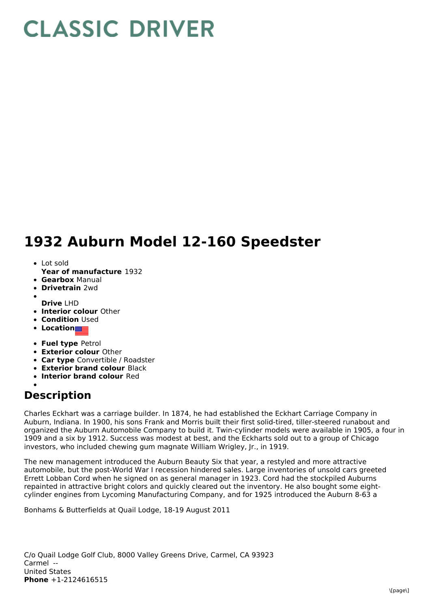## **CLASSIC DRIVER**

## **1932 Auburn Model 12-160 Speedster**

- Lot sold
- **Year of manufacture** 1932
- **Gearbox** Manual
- **Drivetrain** 2wd
- **Drive** LHD
- **Interior colour** Other
- **Condition Used**
- **Location**
- **Fuel type** Petrol
- **Exterior colour** Other
- **Car type** Convertible / Roadster
- **Exterior brand colour** Black
- **Interior brand colour** Red

## **Description**

Charles Eckhart was a carriage builder. In 1874, he had established the Eckhart Carriage Company in Auburn, Indiana. In 1900, his sons Frank and Morris built their first solid-tired, tiller-steered runabout and organized the Auburn Automobile Company to build it. Twin-cylinder models were available in 1905, a four in 1909 and a six by 1912. Success was modest at best, and the Eckharts sold out to a group of Chicago investors, who included chewing gum magnate William Wrigley, Jr., in 1919.

The new management introduced the Auburn Beauty Six that year, a restyled and more attractive automobile, but the post-World War I recession hindered sales. Large inventories of unsold cars greeted Errett Lobban Cord when he signed on as general manager in 1923. Cord had the stockpiled Auburns repainted in attractive bright colors and quickly cleared out the inventory. He also bought some eightcylinder engines from Lycoming Manufacturing Company, and for 1925 introduced the Auburn 8-63 a

Bonhams & Butterfields at Quail Lodge, 18-19 August 2011